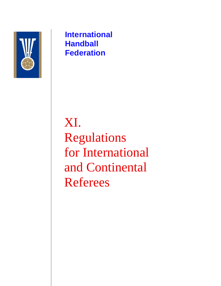

**International Handball Federation**

XI. Regulations for International and Continental Referees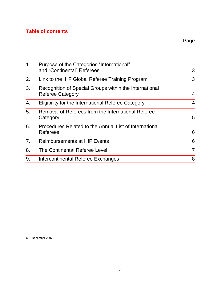# **Table of contents**

| 1.             | Purpose of the Categories "International"<br>and "Continental" Referees           | 3              |
|----------------|-----------------------------------------------------------------------------------|----------------|
| 2.             | Link to the IHF Global Referee Training Program                                   | 3              |
| 3.             | Recognition of Special Groups within the International<br><b>Referee Category</b> | 4              |
| 4.             | Eligibility for the International Referee Category                                | 4              |
| 5.             | Removal of Referees from the International Referee<br>Category                    | 5              |
| 6.             | Procedures Related to the Annual List of International<br>Referees                | 6              |
| 7 <sub>1</sub> | <b>Reimbursements at IHF Events</b>                                               | 6              |
| 8.             | The Continental Referee Level                                                     | $\overline{7}$ |
| 9.             | Intercontinental Referee Exchanges                                                | 8              |

XI – December 2007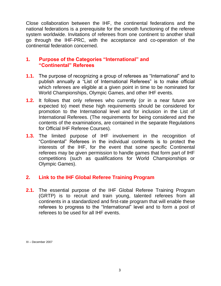Close collaboration between the IHF, the continental federations and the national federations is a prerequisite for the smooth functioning of the referee system worldwide. Invitations of referees from one continent to another shall go through the IHF-PRC, with the acceptance and co-operation of the continental federation concerned.

#### **1. Purpose of the Categories "International" and "Continental" Referees**

- **1.1.** The purpose of recognizing a group of referees as "International" and to publish annually a "List of International Referees" is to make official which referees are eligible at a given point in time to be nominated for World Championships, Olympic Games, and other IHF events.
- **1.2.** It follows that only referees who currently (or in a near future are expected to) meet these high requirements should be considered for promotion to the International level and for inclusion in the List of International Referees. (The requirements for being considered and the contents of the examinations, are contained in the separate Regulations for Official IHF Referee Courses).
- **1.3.** The limited purpose of IHF involvement in the recognition of "Continental" Referees in the individual continents is to protect the interests of the IHF, for the event that some specific Continental referees may be given permission to handle games that form part of IHF competitions (such as qualifications for World Championships or Olympic Games).

## **2. Link to the IHF Global Referee Training Program**

**2.1.** The essential purpose of the IHF Global Referee Training Program (GRTP) is to recruit and train young, talented referees from all continents in a standardized and first-rate program that will enable these referees to progress to the "International" level and to form a pool of referees to be used for all IHF events.

XI – December 2007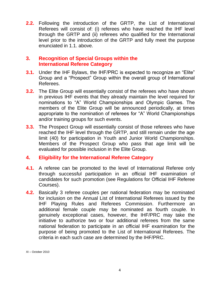**2.2.** Following the introduction of the GRTP, the List of International Referees will consist of: (i) referees who have reached the IHF level through the GRTP and (ii) referees who qualified for the International level prior to the introduction of the GRTP and fully meet the purpose enunciated in 1.1. above.

## **3. Recognition of Special Groups within the International Referee Category**

- **3.1.** Under the IHF Bylaws, the IHF/PRC is expected to recognize an "Elite" Group and a "Prospect" Group within the overall group of International Referees.
- **3.2.** The Elite Group will essentially consist of the referees who have shown in previous IHF events that they already maintain the level required for nominations to "A" World Championships and Olympic Games. The members of the Elite Group will be announced periodically, at times appropriate to the nomination of referees for "A" World Championships and/or training groups for such events.
- **3.3.** The Prospect Group will essentially consist of those referees who have reached the IHF level through the GRTP, and still remain under the age limit (40) for participation in Youth and Junior World Championships. Members of the Prospect Group who pass that age limit will be evaluated for possible inclusion in the Elite Group.

## **4. Eligibility for the International Referee Category**

- **4.1.** A referee can be promoted to the level of International Referee only through successful participation in an official IHF examination of candidates for such promotion (see Regulations for Official IHF Referee Courses).
- **4.2.** Basically 3 referee couples per national federation may be nominated for inclusion on the Annual List of International Referees issued by the IHF Playing Rules and Referees Commission. Furthermore an additional female couple may be nominated as fourth couple. In genuinely exceptional cases, however, the IHF/PRC may take the initiative to authorize two or four additional referees from the same national federation to participate in an official IHF examination for the purpose of being promoted to the List of International Referees. The criteria in each such case are determined by the IHF/PRC.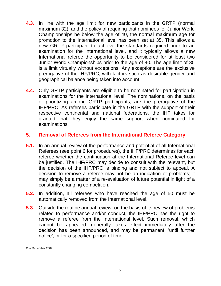- **4.3.** In line with the age limit for new participants in the GRTP (normal maximum 32), and the policy of requiring that nominees for Junior World Championships be below the age of 40, the normal maximum age for promotion to the International level has been set at 35. This allows a new GRTP participant to achieve the standards required prior to an examination for the International level, and it typically allows a new International referee the opportunity to be considered for at least two Junior World Championships prior to the age of 40. The age limit of 35 is a limit virtually without exceptions. Any exceptions are the exclusive prerogative of the IHF/PRC, with factors such as desirable gender and geographical balance being taken into account.
- **4.4.** Only GRTP participants are eligible to be nominated for participation in examinations for the International level. The nominations, on the basis of prioritizing among GRTP participants, are the prerogative of the IHF/PRC. As referees participate in the GRTP with the support of their respective continental and national federations, the IHF takes for granted that they enjoy the same support when nominated for examinations.

## **5. Removal of Referees from the International Referee Category**

- **5.1.** In an annual review of the performance and potential of all International Referees (see point 6 for procedures), the IHF/PRC determines for each referee whether the continuation at the International Referee level can be justified. The IHF/PRC may decide to consult with the relevant, but the decision of the IHF/PRC is binding and not subject to appeal. A decision to remove a referee may not be an indication of problems; it may simply be a matter of a re-evaluation of future potential in light of a constantly changing competition.
- **5.2.** In addition, all referees who have reached the age of 50 must be automatically removed from the International level.
- **5.3.** Outside the routine annual review, on the basis of its review of problems related to performance and/or conduct, the IHF/PRC has the right to remove a referee from the International level. Such removal, which cannot be appealed, generally takes effect immediately after the decision has been announced, and may be permanent, "until further notice", or for a specified period of time.

XI – December 2007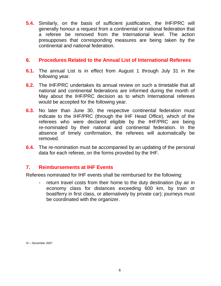**5.4.** Similarly, on the basis of sufficient justification, the IHF/PRC will generally honour a request from a continental or national federation that a referee be removed from the International level. The action presupposes that corresponding measures are being taken by the continental and national federation.

#### **6. Procedures Related to the Annual List of International Referees**

- **6.1.** The annual List is in effect from August 1 through July 31 in the following year.
- **6.2.** The IHF/PRC undertakes its annual review on such a timetable that all national and continental federations are informed during the month of May about the IHF/PRC decision as to which International referees would be accepted for the following year.
- **6.3.** No later than June 30, the respective continental federation must indicate to the IHF/PRC (through the IHF Head Office), which of the referees who were declared eligible by the IHF/PRC are being re-nominated by their national and continental federation. In the absence of timely confirmation, the referees will automatically be removed.
- **6.4.** The re-nomination must be accompanied by an updating of the personal data for each referee, on the forms provided by the IHF.

#### **7. Reimbursements at IHF Events**

Referees nominated for IHF events shall be reimbursed for the following:

return travel costs from their home to the duty destination (by air in economy class for distances exceeding 600 km, by train or boat/ferry in first class, or alternatively by private car); journeys must be coordinated with the organizer.

XI – December 2007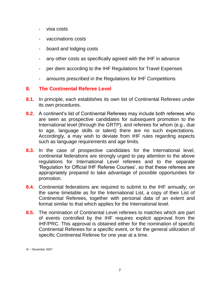- visa costs
- vaccinations costs
- board and lodging costs
- any other costs as specifically agreed with the IHF in advance
- per diem according to the IHF Regulations for Travel Expenses
- amounts prescribed in the Regulations for IHF Competitions

## **8. The Continental Referee Level**

- **8.1.** In principle, each establishes its own list of Continental Referees under its own procedures.
- **8.2.** A continent's list of Continental Referees may include both referees who are seen as prospective candidates for subsequent promotion to the International level (through the GRTP), and referees for whom (e.g., due to age, language skills or talent) there are no such expectations. Accordingly, a may wish to deviate from IHF rules regarding aspects such as language requirements and age limits.
- **8.3.** In the case of prospective candidates for the International level, continental federations are strongly urged to pay attention to the above regulations for International Level referees and to the separate "Regulation for Official IHF Referee Courses", so that these referees are appropriately prepared to take advantage of possible opportunities for promotion.
- **8.4.** Continental federations are required to submit to the IHF annually, on the same timetable as for the International List, a copy of their List of Continental Referees, together with personal data of an extent and format similar to that which applies for the International level.
- **8.5.** The nomination of Continental Level referees to matches which are part of events controlled by the IHF requires explicit approval from the IHF/PRC. This approval is obtained either for the nomination of specific Continental Referees for a specific event, or for the general utilization of specific Continental Referee for one year at a time.

XI – December 2007